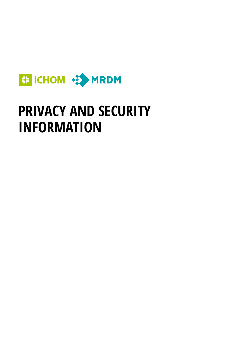

# **PRIVACY AND SECURITY INFORMATION**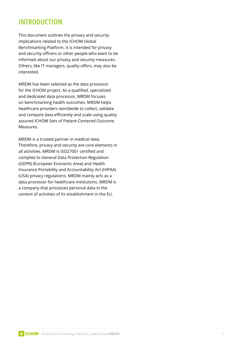## **INTRODUCTION**

This document outlines the privacy and security implications related to the ICHOM Global Benchmarking Platform. It is intended for privacy and security officers or other people who want to be informed about our privacy and security measures. Others, like IT managers, quality offers, may also be interested.

MRDM has been selected as the data processor for the ICHOM project. As a qualified, specialized and dedicated data processor, MRDM focuses on benchmarking health outcomes. MRDM helps healthcare providers worldwide to collect, validate and compare data efficiently and scale using quality assured ICHOM Sets of Patient-Centered Outcome Measures.

MRDM is a trusted partner in medical data. Therefore, privacy and security are core elements in all activities. MRDM is ISO27001 certified and complies to General Data Protection Regulation (GDPR) (European Economic Area) and Health Insurance Portability and Accountability Act (HIPAA) (USA) privacy regulations. MRDM mainly acts as a data processor for healthcare institutions. MRDM is a company that processes personal data in the context of activities of its establishment in the EU.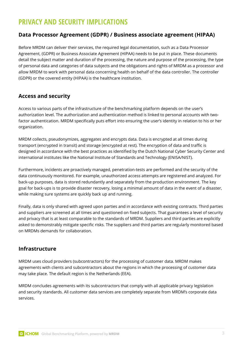## **PRIVACY AND SECURITY IMPLICATIONS**

#### **Data Processor Agreement (GDPR) / Business associate agreement (HIPAA)**

Before MRDM can deliver their services, the required legal documentation, such as a Data Processor Agreement, (GDPR) or Business Associate Agreement (HIPAA) needs to be put in place. These documents detail the subject matter and duration of the processing, the nature and purpose of the processing, the type of personal data and categories of data subjects and the obligations and rights of MRDM as a processor and allow MRDM to work with personal data concerning health on behalf of the data controller. The controller (GDPR) or the covered entity (HIPAA) is the healthcare institution.

#### **Access and security**

Access to various parts of the infrastructure of the benchmarking platform depends on the user's authorization level. The authorization and authentication method is linked to personal accounts with twofactor authentication. MRDM specifically puts effort into ensuring the user's identity in relation to his or her organization.

MRDM collects, pseudonymizes, aggregates and encrypts data. Data is encrypted at all times during transport (encrypted in transit) and storage (encrypted at rest). The encryption of data and traffic is designed in accordance with the best practices as identified by the Dutch National Cyber Security Center and international institutes like the National Institute of Standards and Technology (ENISA/NIST).

Furthermore, incidents are proactively managed, penetration-tests are performed and the security of the data continuously monitored. For example, unauthorized access attempts are registered and analyzed. For back-up purposes, data is stored redundantly and separately from the production environment. The key goal for back-ups is to provide disaster recovery, losing a minimal amount of data in the event of a disaster, while making sure systems are quickly back up and running.

Finally, data is only shared with agreed upon parties and in accordance with existing contracts. Third parties and suppliers are screened at all times and questioned on fixed subjects. That guarantees a level of security and privacy that is at least comparable to the standards of MRDM. Suppliers and third parties are explicitly asked to demonstrably mitigate specific risks. The suppliers and third parties are regularly monitored based on MRDMs demands for collaboration.

#### **Infrastructure**

MRDM uses cloud providers (subcontractors) for the processing of customer data. MRDM makes agreements with clients and subcontractors about the regions in which the processing of customer data may take place. The default region is the Netherlands (EEA).

MRDM concludes agreements with its subcontractors that comply with all applicable privacy legislation and security standards. All customer data services are completely separate from MRDM's corporate data services.